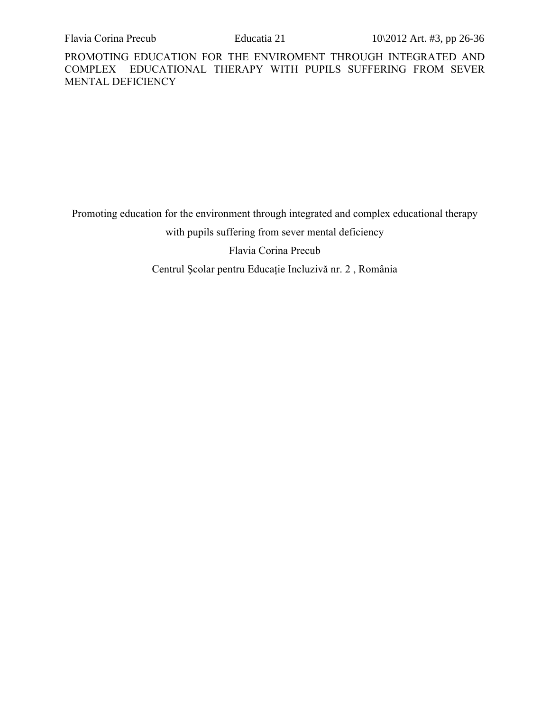Promoting education for the environment through integrated and complex educational therapy

with pupils suffering from sever mental deficiency

Flavia Corina Precub

Centrul Şcolar pentru Educaţie Incluzivă nr. 2 , România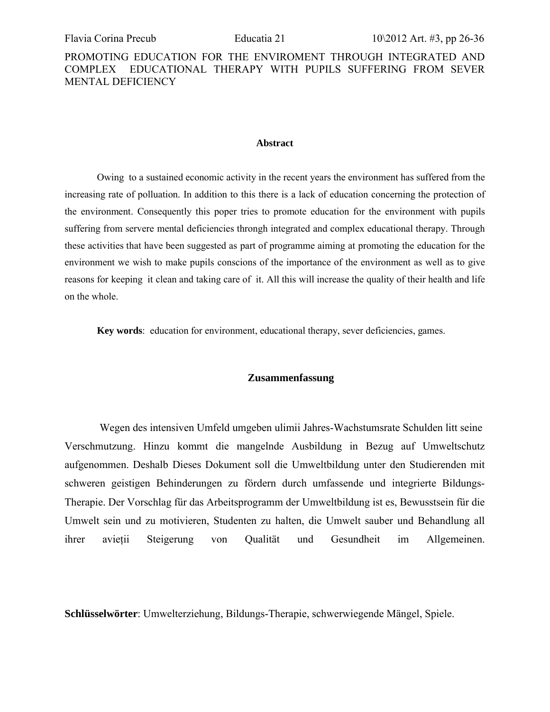### **Abstract**

Owing to a sustained economic activity in the recent years the environment has suffered from the increasing rate of polluation. In addition to this there is a lack of education concerning the protection of the environment. Consequently this poper tries to promote education for the environment with pupils suffering from servere mental deficiencies throngh integrated and complex educational therapy. Through these activities that have been suggested as part of programme aiming at promoting the education for the environment we wish to make pupils conscions of the importance of the environment as well as to give reasons for keeping it clean and taking care of it. All this will increase the quality of their health and life on the whole.

**Key words**: education for environment, educational therapy, sever deficiencies, games.

### **Zusammenfassung**

Wegen des intensiven Umfeld umgeben ulimii Jahres-Wachstumsrate Schulden litt seine Verschmutzung. Hinzu kommt die mangelnde Ausbildung in Bezug auf Umweltschutz aufgenommen. Deshalb Dieses Dokument soll die Umweltbildung unter den Studierenden mit schweren geistigen Behinderungen zu fördern durch umfassende und integrierte Bildungs-Therapie. Der Vorschlag für das Arbeitsprogramm der Umweltbildung ist es, Bewusstsein für die Umwelt sein und zu motivieren, Studenten zu halten, die Umwelt sauber und Behandlung all ihrer avieţii Steigerung von Qualität und Gesundheit im Allgemeinen.

**Schlüsselwörter**: Umwelterziehung, Bildungs-Therapie, schwerwiegende Mängel, Spiele.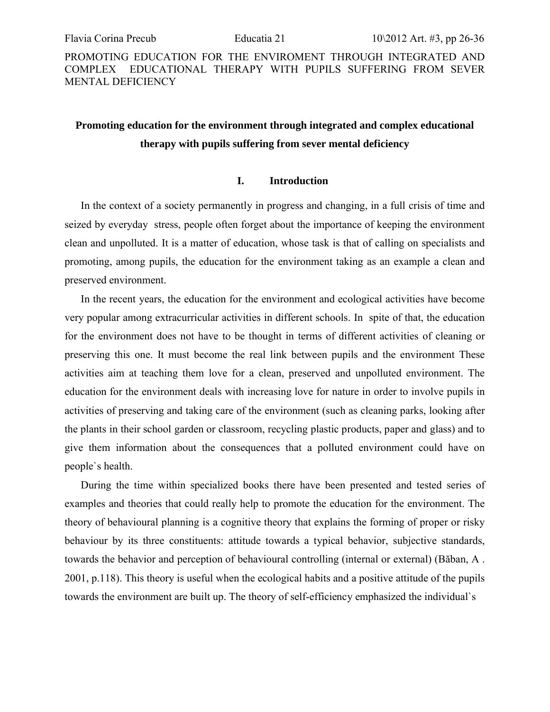# **Promoting education for the environment through integrated and complex educational therapy with pupils suffering from sever mental deficiency**

### **I. Introduction**

In the context of a society permanently in progress and changing, in a full crisis of time and seized by everyday stress, people often forget about the importance of keeping the environment clean and unpolluted. It is a matter of education, whose task is that of calling on specialists and promoting, among pupils, the education for the environment taking as an example a clean and preserved environment.

In the recent years, the education for the environment and ecological activities have become very popular among extracurricular activities in different schools. In spite of that, the education for the environment does not have to be thought in terms of different activities of cleaning or preserving this one. It must become the real link between pupils and the environment These activities aim at teaching them love for a clean, preserved and unpolluted environment. The education for the environment deals with increasing love for nature in order to involve pupils in activities of preserving and taking care of the environment (such as cleaning parks, looking after the plants in their school garden or classroom, recycling plastic products, paper and glass) and to give them information about the consequences that a polluted environment could have on people`s health.

During the time within specialized books there have been presented and tested series of examples and theories that could really help to promote the education for the environment. The theory of behavioural planning is a cognitive theory that explains the forming of proper or risky behaviour by its three constituents: attitude towards a typical behavior, subjective standards, towards the behavior and perception of behavioural controlling (internal or external) (Băban, A . 2001, p.118). This theory is useful when the ecological habits and a positive attitude of the pupils towards the environment are built up. The theory of self-efficiency emphasized the individual`s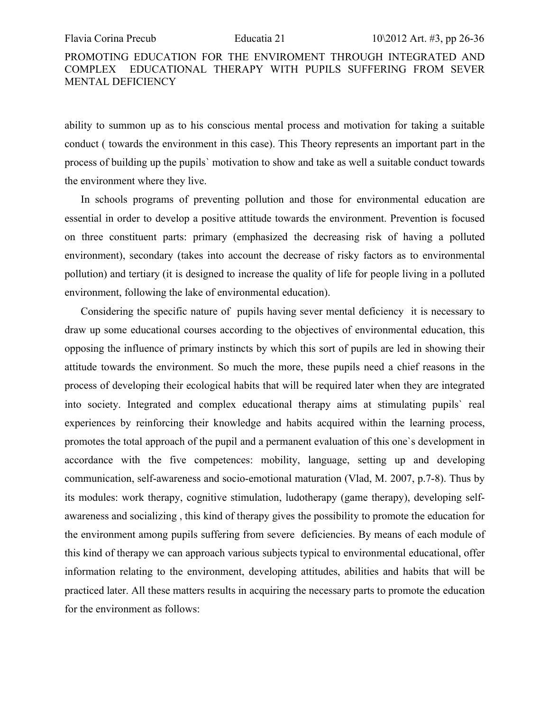ability to summon up as to his conscious mental process and motivation for taking a suitable conduct ( towards the environment in this case). This Theory represents an important part in the process of building up the pupils` motivation to show and take as well a suitable conduct towards the environment where they live.

In schools programs of preventing pollution and those for environmental education are essential in order to develop a positive attitude towards the environment. Prevention is focused on three constituent parts: primary (emphasized the decreasing risk of having a polluted environment), secondary (takes into account the decrease of risky factors as to environmental pollution) and tertiary (it is designed to increase the quality of life for people living in a polluted environment, following the lake of environmental education).

Considering the specific nature of pupils having sever mental deficiency it is necessary to draw up some educational courses according to the objectives of environmental education, this opposing the influence of primary instincts by which this sort of pupils are led in showing their attitude towards the environment. So much the more, these pupils need a chief reasons in the process of developing their ecological habits that will be required later when they are integrated into society. Integrated and complex educational therapy aims at stimulating pupils` real experiences by reinforcing their knowledge and habits acquired within the learning process, promotes the total approach of the pupil and a permanent evaluation of this one`s development in accordance with the five competences: mobility, language, setting up and developing communication, self-awareness and socio-emotional maturation (Vlad, M. 2007, p.7-8). Thus by its modules: work therapy, cognitive stimulation, ludotherapy (game therapy), developing selfawareness and socializing , this kind of therapy gives the possibility to promote the education for the environment among pupils suffering from severe deficiencies. By means of each module of this kind of therapy we can approach various subjects typical to environmental educational, offer information relating to the environment, developing attitudes, abilities and habits that will be practiced later. All these matters results in acquiring the necessary parts to promote the education for the environment as follows: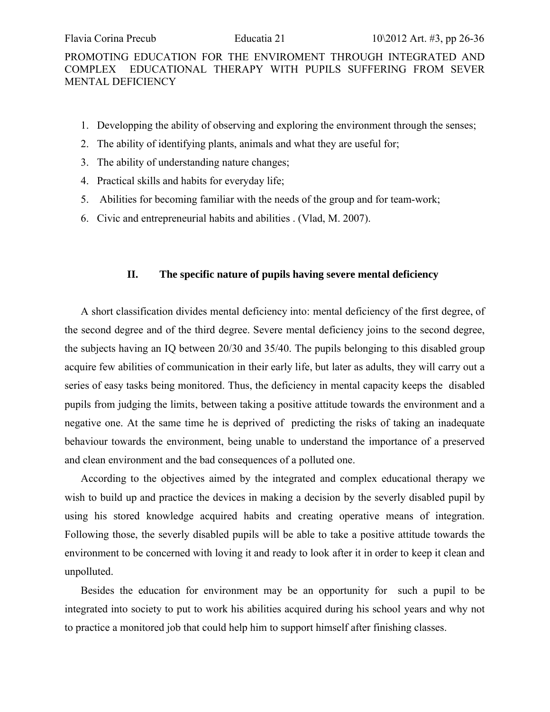- 1. Developping the ability of observing and exploring the environment through the senses;
- 2. The ability of identifying plants, animals and what they are useful for;
- 3. The ability of understanding nature changes;
- 4. Practical skills and habits for everyday life;
- 5. Abilities for becoming familiar with the needs of the group and for team-work;
- 6. Civic and entrepreneurial habits and abilities . (Vlad, M. 2007).

## **II. The specific nature of pupils having severe mental deficiency**

A short classification divides mental deficiency into: mental deficiency of the first degree, of the second degree and of the third degree. Severe mental deficiency joins to the second degree, the subjects having an IQ between 20/30 and 35/40. The pupils belonging to this disabled group acquire few abilities of communication in their early life, but later as adults, they will carry out a series of easy tasks being monitored. Thus, the deficiency in mental capacity keeps the disabled pupils from judging the limits, between taking a positive attitude towards the environment and a negative one. At the same time he is deprived of predicting the risks of taking an inadequate behaviour towards the environment, being unable to understand the importance of a preserved and clean environment and the bad consequences of a polluted one.

According to the objectives aimed by the integrated and complex educational therapy we wish to build up and practice the devices in making a decision by the severly disabled pupil by using his stored knowledge acquired habits and creating operative means of integration. Following those, the severly disabled pupils will be able to take a positive attitude towards the environment to be concerned with loving it and ready to look after it in order to keep it clean and unpolluted.

Besides the education for environment may be an opportunity for such a pupil to be integrated into society to put to work his abilities acquired during his school years and why not to practice a monitored job that could help him to support himself after finishing classes.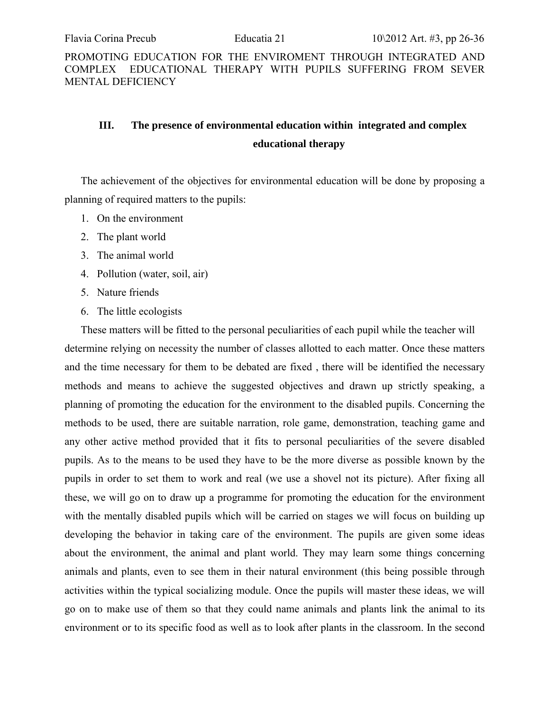# **III. The presence of environmental education within integrated and complex educational therapy**

The achievement of the objectives for environmental education will be done by proposing a planning of required matters to the pupils:

- 1. On the environment
- 2. The plant world
- 3. The animal world
- 4. Pollution (water, soil, air)
- 5. Nature friends
- 6. The little ecologists

These matters will be fitted to the personal peculiarities of each pupil while the teacher will determine relying on necessity the number of classes allotted to each matter. Once these matters and the time necessary for them to be debated are fixed , there will be identified the necessary methods and means to achieve the suggested objectives and drawn up strictly speaking, a planning of promoting the education for the environment to the disabled pupils. Concerning the methods to be used, there are suitable narration, role game, demonstration, teaching game and any other active method provided that it fits to personal peculiarities of the severe disabled pupils. As to the means to be used they have to be the more diverse as possible known by the pupils in order to set them to work and real (we use a shovel not its picture). After fixing all these, we will go on to draw up a programme for promoting the education for the environment with the mentally disabled pupils which will be carried on stages we will focus on building up developing the behavior in taking care of the environment. The pupils are given some ideas about the environment, the animal and plant world. They may learn some things concerning animals and plants, even to see them in their natural environment (this being possible through activities within the typical socializing module. Once the pupils will master these ideas, we will go on to make use of them so that they could name animals and plants link the animal to its environment or to its specific food as well as to look after plants in the classroom. In the second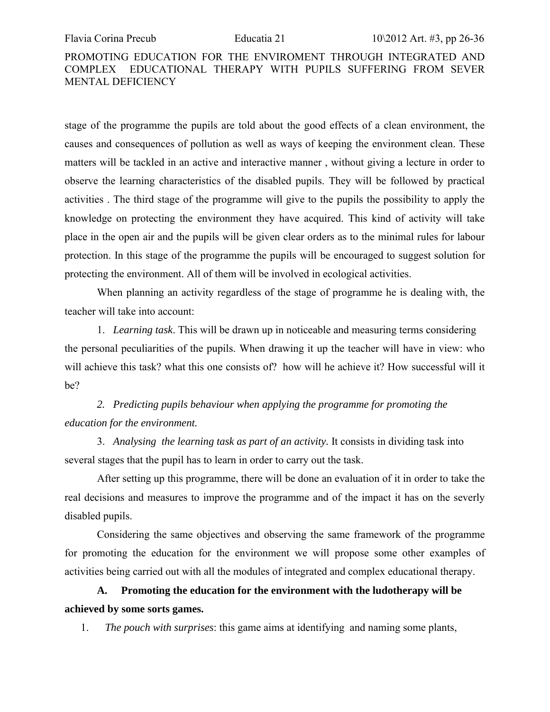stage of the programme the pupils are told about the good effects of a clean environment, the causes and consequences of pollution as well as ways of keeping the environment clean. These matters will be tackled in an active and interactive manner , without giving a lecture in order to observe the learning characteristics of the disabled pupils. They will be followed by practical activities . The third stage of the programme will give to the pupils the possibility to apply the knowledge on protecting the environment they have acquired. This kind of activity will take place in the open air and the pupils will be given clear orders as to the minimal rules for labour protection. In this stage of the programme the pupils will be encouraged to suggest solution for protecting the environment. All of them will be involved in ecological activities.

When planning an activity regardless of the stage of programme he is dealing with, the teacher will take into account:

1. *Learning task*. This will be drawn up in noticeable and measuring terms considering the personal peculiarities of the pupils. When drawing it up the teacher will have in view: who will achieve this task? what this one consists of? how will he achieve it? How successful will it be?

*2. Predicting pupils behaviour when applying the programme for promoting the education for the environment.* 

3. *Analysing the learning task as part of an activity.* It consists in dividing task into several stages that the pupil has to learn in order to carry out the task.

After setting up this programme, there will be done an evaluation of it in order to take the real decisions and measures to improve the programme and of the impact it has on the severly disabled pupils.

Considering the same objectives and observing the same framework of the programme for promoting the education for the environment we will propose some other examples of activities being carried out with all the modules of integrated and complex educational therapy.

**A. Promoting the education for the environment with the ludotherapy will be achieved by some sorts games.** 

1. *The pouch with surprises*: this game aims at identifying and naming some plants,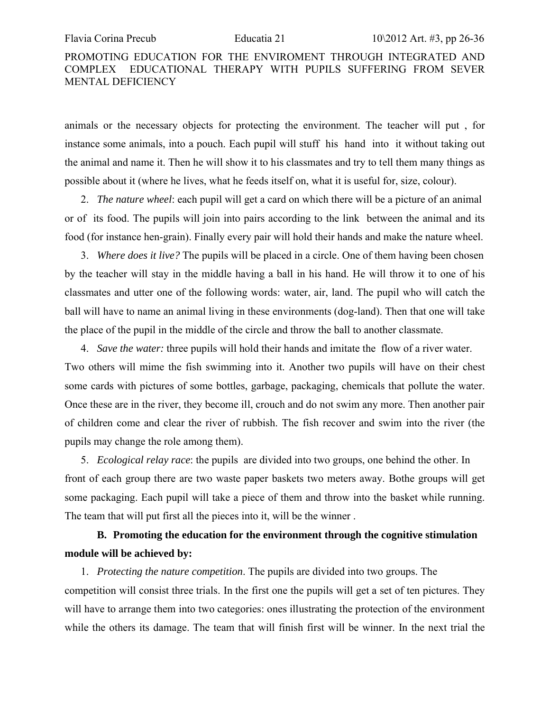animals or the necessary objects for protecting the environment. The teacher will put , for instance some animals, into a pouch. Each pupil will stuff his hand into it without taking out the animal and name it. Then he will show it to his classmates and try to tell them many things as possible about it (where he lives, what he feeds itself on, what it is useful for, size, colour).

2. *The nature wheel*: each pupil will get a card on which there will be a picture of an animal or of its food. The pupils will join into pairs according to the link between the animal and its food (for instance hen-grain). Finally every pair will hold their hands and make the nature wheel.

3. *Where does it live?* The pupils will be placed in a circle. One of them having been chosen by the teacher will stay in the middle having a ball in his hand. He will throw it to one of his classmates and utter one of the following words: water, air, land. The pupil who will catch the ball will have to name an animal living in these environments (dog-land). Then that one will take the place of the pupil in the middle of the circle and throw the ball to another classmate.

4. *Save the water:* three pupils will hold their hands and imitate the flow of a river water. Two others will mime the fish swimming into it. Another two pupils will have on their chest some cards with pictures of some bottles, garbage, packaging, chemicals that pollute the water. Once these are in the river, they become ill, crouch and do not swim any more. Then another pair of children come and clear the river of rubbish. The fish recover and swim into the river (the pupils may change the role among them).

5. *Ecological relay race*: the pupils are divided into two groups, one behind the other. In front of each group there are two waste paper baskets two meters away. Bothe groups will get some packaging. Each pupil will take a piece of them and throw into the basket while running. The team that will put first all the pieces into it, will be the winner .

# **B. Promoting the education for the environment through the cognitive stimulation module will be achieved by:**

1. *Protecting the nature competition*. The pupils are divided into two groups. The competition will consist three trials. In the first one the pupils will get a set of ten pictures. They will have to arrange them into two categories: ones illustrating the protection of the environment while the others its damage. The team that will finish first will be winner. In the next trial the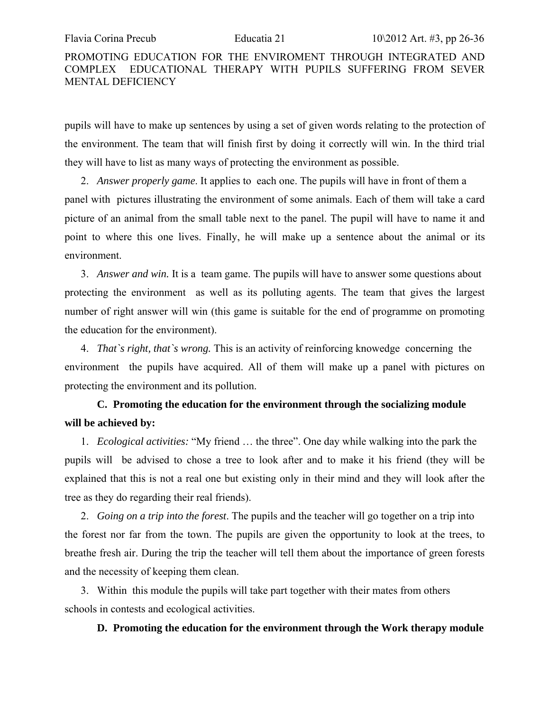pupils will have to make up sentences by using a set of given words relating to the protection of the environment. The team that will finish first by doing it correctly will win. In the third trial they will have to list as many ways of protecting the environment as possible.

2. *Answer properly game*. It applies to each one. The pupils will have in front of them a panel with pictures illustrating the environment of some animals. Each of them will take a card picture of an animal from the small table next to the panel. The pupil will have to name it and point to where this one lives. Finally, he will make up a sentence about the animal or its environment.

3. *Answer and win.* It is a team game. The pupils will have to answer some questions about protecting the environment as well as its polluting agents. The team that gives the largest number of right answer will win (this game is suitable for the end of programme on promoting the education for the environment).

4. *That`s right, that`s wrong.* This is an activity of reinforcing knowedge concerning the environment the pupils have acquired. All of them will make up a panel with pictures on protecting the environment and its pollution.

# **C. Promoting the education for the environment through the socializing module will be achieved by:**

1. *Ecological activities:* "My friend … the three". One day while walking into the park the pupils will be advised to chose a tree to look after and to make it his friend (they will be explained that this is not a real one but existing only in their mind and they will look after the tree as they do regarding their real friends).

2. *Going on a trip into the forest*. The pupils and the teacher will go together on a trip into the forest nor far from the town. The pupils are given the opportunity to look at the trees, to breathe fresh air. During the trip the teacher will tell them about the importance of green forests and the necessity of keeping them clean.

3. Within this module the pupils will take part together with their mates from others schools in contests and ecological activities.

### **D. Promoting the education for the environment through the Work therapy module**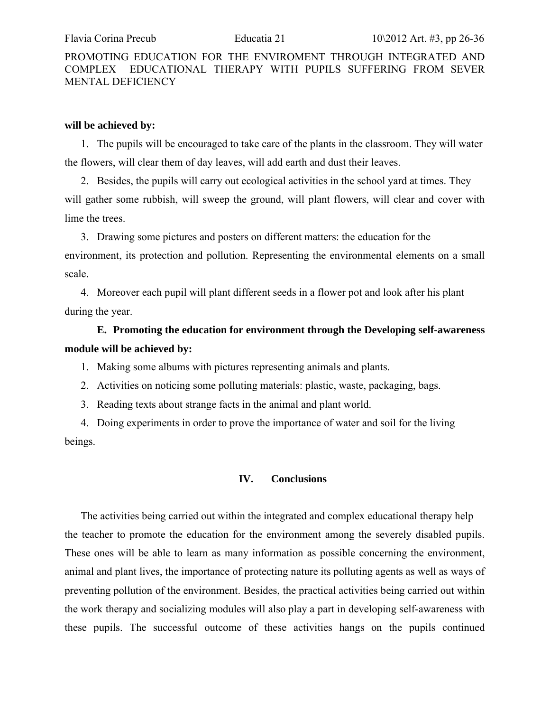### **will be achieved by:**

1. The pupils will be encouraged to take care of the plants in the classroom. They will water the flowers, will clear them of day leaves, will add earth and dust their leaves.

2. Besides, the pupils will carry out ecological activities in the school yard at times. They will gather some rubbish, will sweep the ground, will plant flowers, will clear and cover with lime the trees.

3. Drawing some pictures and posters on different matters: the education for the environment, its protection and pollution. Representing the environmental elements on a small scale.

4. Moreover each pupil will plant different seeds in a flower pot and look after his plant during the year.

# **E. Promoting the education for environment through the Developing self-awareness module will be achieved by:**

1. Making some albums with pictures representing animals and plants.

- 2. Activities on noticing some polluting materials: plastic, waste, packaging, bags.
- 3. Reading texts about strange facts in the animal and plant world.

4. Doing experiments in order to prove the importance of water and soil for the living beings.

### **IV. Conclusions**

The activities being carried out within the integrated and complex educational therapy help the teacher to promote the education for the environment among the severely disabled pupils. These ones will be able to learn as many information as possible concerning the environment, animal and plant lives, the importance of protecting nature its polluting agents as well as ways of preventing pollution of the environment. Besides, the practical activities being carried out within the work therapy and socializing modules will also play a part in developing self-awareness with these pupils. The successful outcome of these activities hangs on the pupils continued